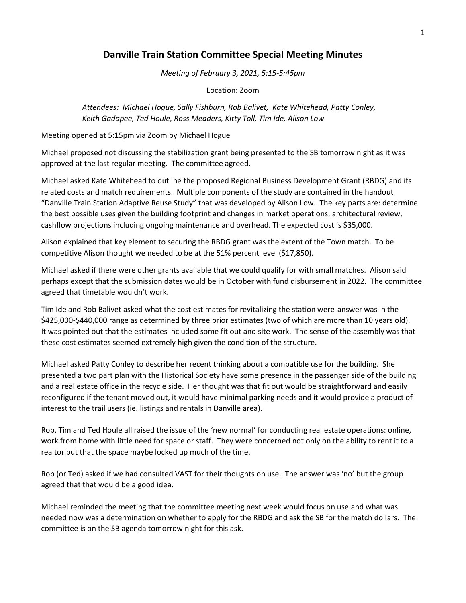## **Danville Train Station Committee Special Meeting Minutes**

*Meeting of February 3, 2021, 5:15-5:45pm*

Location: Zoom

*Attendees: Michael Hogue, Sally Fishburn, Rob Balivet, Kate Whitehead, Patty Conley, Keith Gadapee, Ted Houle, Ross Meaders, Kitty Toll, Tim Ide, Alison Low*

Meeting opened at 5:15pm via Zoom by Michael Hogue

Michael proposed not discussing the stabilization grant being presented to the SB tomorrow night as it was approved at the last regular meeting. The committee agreed.

Michael asked Kate Whitehead to outline the proposed Regional Business Development Grant (RBDG) and its related costs and match requirements. Multiple components of the study are contained in the handout "Danville Train Station Adaptive Reuse Study" that was developed by Alison Low. The key parts are: determine the best possible uses given the building footprint and changes in market operations, architectural review, cashflow projections including ongoing maintenance and overhead. The expected cost is \$35,000.

Alison explained that key element to securing the RBDG grant was the extent of the Town match. To be competitive Alison thought we needed to be at the 51% percent level (\$17,850).

Michael asked if there were other grants available that we could qualify for with small matches. Alison said perhaps except that the submission dates would be in October with fund disbursement in 2022. The committee agreed that timetable wouldn't work.

Tim Ide and Rob Balivet asked what the cost estimates for revitalizing the station were-answer was in the \$425,000-\$440,000 range as determined by three prior estimates (two of which are more than 10 years old). It was pointed out that the estimates included some fit out and site work. The sense of the assembly was that these cost estimates seemed extremely high given the condition of the structure.

Michael asked Patty Conley to describe her recent thinking about a compatible use for the building. She presented a two part plan with the Historical Society have some presence in the passenger side of the building and a real estate office in the recycle side. Her thought was that fit out would be straightforward and easily reconfigured if the tenant moved out, it would have minimal parking needs and it would provide a product of interest to the trail users (ie. listings and rentals in Danville area).

Rob, Tim and Ted Houle all raised the issue of the 'new normal' for conducting real estate operations: online, work from home with little need for space or staff. They were concerned not only on the ability to rent it to a realtor but that the space maybe locked up much of the time.

Rob (or Ted) asked if we had consulted VAST for their thoughts on use. The answer was 'no' but the group agreed that that would be a good idea.

Michael reminded the meeting that the committee meeting next week would focus on use and what was needed now was a determination on whether to apply for the RBDG and ask the SB for the match dollars. The committee is on the SB agenda tomorrow night for this ask.